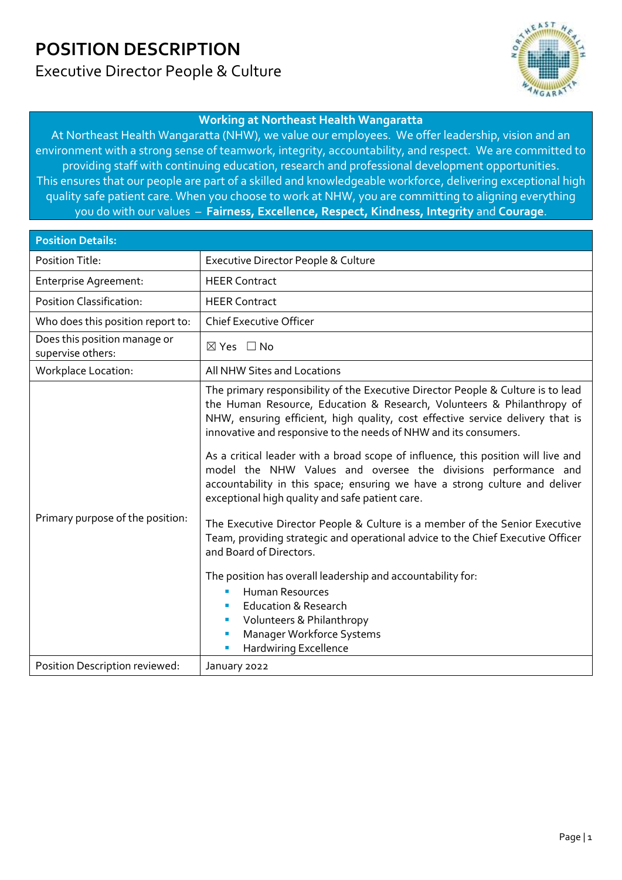## **POSITION DESCRIPTION** Executive Director People & Culture



#### **Working at Northeast Health Wangaratta**

At Northeast Health Wangaratta (NHW), we value our employees. We offer leadership, vision and an environment with a strong sense of teamwork, integrity, accountability, and respect. We are committed to providing staff with continuing education, research and professional development opportunities. This ensures that our people are part of a skilled and knowledgeable workforce, delivering exceptional high quality safe patient care. When you choose to work at NHW, you are committing to aligning everything you do with our values – **Fairness, Excellence, Respect, Kindness, Integrity** and **Courage**.

| <b>Position Details:</b>                          |                                                                                                                                                                                                                                                                                                                                                                                                                                                                                                                                                                                                                                                                                                                                                                                                                                                                                                                                                                                                                                      |
|---------------------------------------------------|--------------------------------------------------------------------------------------------------------------------------------------------------------------------------------------------------------------------------------------------------------------------------------------------------------------------------------------------------------------------------------------------------------------------------------------------------------------------------------------------------------------------------------------------------------------------------------------------------------------------------------------------------------------------------------------------------------------------------------------------------------------------------------------------------------------------------------------------------------------------------------------------------------------------------------------------------------------------------------------------------------------------------------------|
| <b>Position Title:</b>                            | Executive Director People & Culture                                                                                                                                                                                                                                                                                                                                                                                                                                                                                                                                                                                                                                                                                                                                                                                                                                                                                                                                                                                                  |
| Enterprise Agreement:                             | <b>HEER Contract</b>                                                                                                                                                                                                                                                                                                                                                                                                                                                                                                                                                                                                                                                                                                                                                                                                                                                                                                                                                                                                                 |
| <b>Position Classification:</b>                   | <b>HEER Contract</b>                                                                                                                                                                                                                                                                                                                                                                                                                                                                                                                                                                                                                                                                                                                                                                                                                                                                                                                                                                                                                 |
| Who does this position report to:                 | <b>Chief Executive Officer</b>                                                                                                                                                                                                                                                                                                                                                                                                                                                                                                                                                                                                                                                                                                                                                                                                                                                                                                                                                                                                       |
| Does this position manage or<br>supervise others: | $\boxtimes$ Yes $\Box$ No                                                                                                                                                                                                                                                                                                                                                                                                                                                                                                                                                                                                                                                                                                                                                                                                                                                                                                                                                                                                            |
| <b>Workplace Location:</b>                        | All NHW Sites and Locations                                                                                                                                                                                                                                                                                                                                                                                                                                                                                                                                                                                                                                                                                                                                                                                                                                                                                                                                                                                                          |
| Primary purpose of the position:                  | The primary responsibility of the Executive Director People & Culture is to lead<br>the Human Resource, Education & Research, Volunteers & Philanthropy of<br>NHW, ensuring efficient, high quality, cost effective service delivery that is<br>innovative and responsive to the needs of NHW and its consumers.<br>As a critical leader with a broad scope of influence, this position will live and<br>model the NHW Values and oversee the divisions performance and<br>accountability in this space; ensuring we have a strong culture and deliver<br>exceptional high quality and safe patient care.<br>The Executive Director People & Culture is a member of the Senior Executive<br>Team, providing strategic and operational advice to the Chief Executive Officer<br>and Board of Directors.<br>The position has overall leadership and accountability for:<br><b>Human Resources</b><br>×<br><b>Education &amp; Research</b><br>Volunteers & Philanthropy<br>Manager Workforce Systems<br>п<br>Hardwiring Excellence<br>п |
| Position Description reviewed:                    | January 2022                                                                                                                                                                                                                                                                                                                                                                                                                                                                                                                                                                                                                                                                                                                                                                                                                                                                                                                                                                                                                         |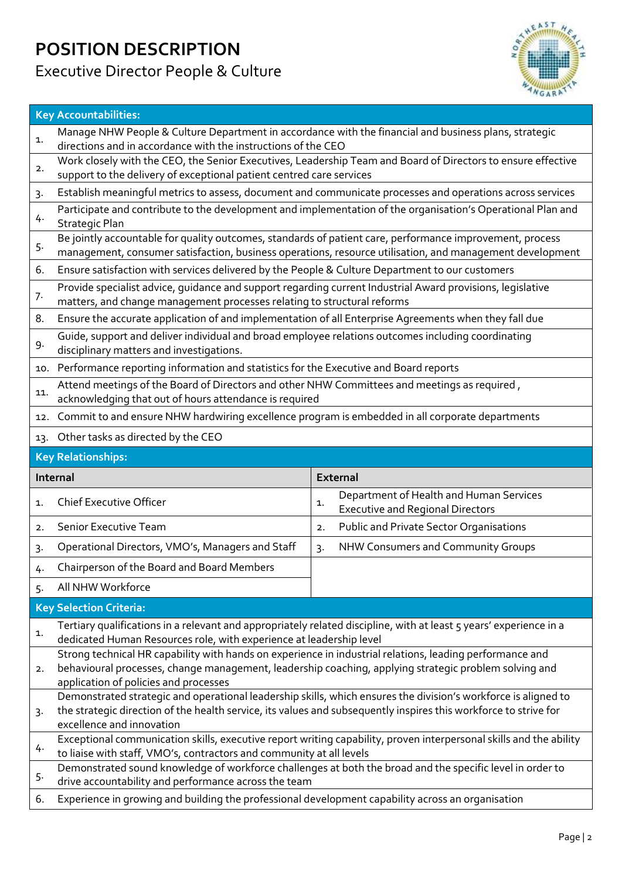## **POSITION DESCRIPTION** Executive Director People & Culture

1.

2.

4.

5.

7.

9.

11.

1.

 $2<sub>1</sub>$ 

3.

4.

5.



### **Key Accountabilities:** Manage NHW People & Culture Department in accordance with the financial and business plans, strategic directions and in accordance with the instructions of the CEO Work closely with the CEO, the Senior Executives, Leadership Team and Board of Directors to ensure effective support to the delivery of exceptional patient centred care services 3. Establish meaningful metrics to assess, document and communicate processes and operations across services Participate and contribute to the development and implementation of the organisation's Operational Plan and Strategic Plan Be jointly accountable for quality outcomes, standards of patient care, performance improvement, process management, consumer satisfaction, business operations, resource utilisation, and management development 6. Ensure satisfaction with services delivered by the People & Culture Department to our customers Provide specialist advice, guidance and support regarding current Industrial Award provisions, legislative matters, and change management processes relating to structural reforms 8. Ensure the accurate application of and implementation of all Enterprise Agreements when they fall due Guide, support and deliver individual and broad employee relations outcomes including coordinating disciplinary matters and investigations. 10. Performance reporting information and statistics for the Executive and Board reports Attend meetings of the Board of Directors and other NHW Committees and meetings as required , acknowledging that out of hours attendance is required 12. Commit to and ensure NHW hardwiring excellence program is embedded in all corporate departments 13. Other tasks as directed by the CEO **Key Relationships: Internal External** 1. Chief Executive Officer 1. 1. Department of Health and Human Services Executive and Regional Directors 2. Senior Executive Team 2. Public and Private Sector Organisations 3. Operational Directors, VMO's, Managers and Staff  $\parallel$  3. NHW Consumers and Community Groups 4. Chairperson of the Board and Board Members 5. All NHW Workforce **Key Selection Criteria:** Tertiary qualifications in a relevant and appropriately related discipline, with at least 5 years' experience in a dedicated Human Resources role, with experience at leadership level Strong technical HR capability with hands on experience in industrial relations, leading performance and behavioural processes, change management, leadership coaching, applying strategic problem solving and application of policies and processes Demonstrated strategic and operational leadership skills, which ensures the division's workforce is aligned to the strategic direction of the health service, its values and subsequently inspires this workforce to strive for excellence and innovation Exceptional communication skills, executive report writing capability, proven interpersonal skills and the ability to liaise with staff, VMO's, contractors and community at all levels Demonstrated sound knowledge of workforce challenges at both the broad and the specific level in order to drive accountability and performance across the team 6. Experience in growing and building the professional development capability across an organisation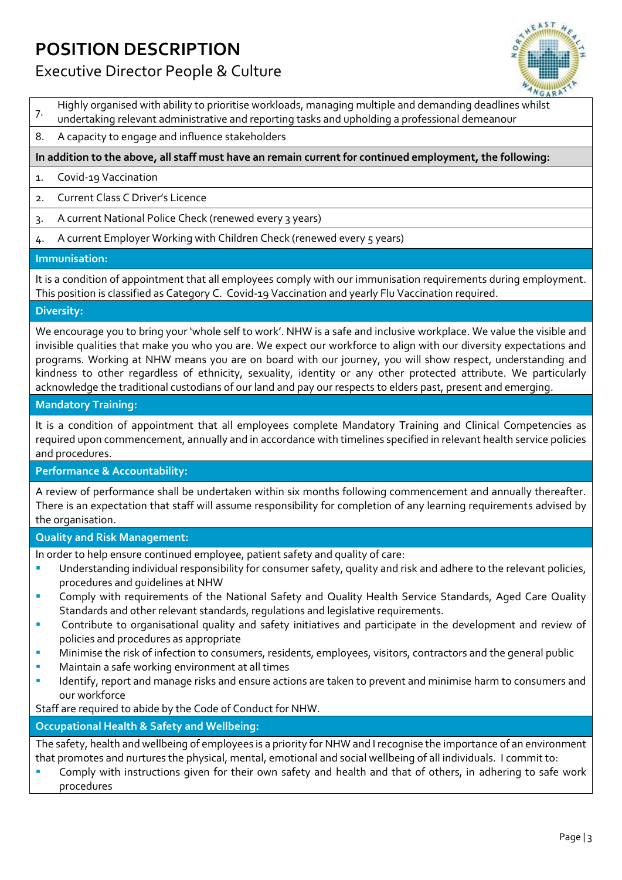# **POSITION DESCRIPTION**



## Executive Director People & Culture

- 7. Highly organised with ability to prioritise workloads, managing multiple and demanding deadlines whilst
- undertaking relevant administrative and reporting tasks and upholding a professional demeanour
- 8. A capacity to engage and influence stakeholders

#### **In addition to the above, all staff must have an remain current for continued employment, the following:**

- 1. Covid-19 Vaccination
- 2. Current Class C Driver's Licence
- 3. A current National Police Check (renewed every 3 years)
- 4. A current Employer Working with Children Check (renewed every 5 years)

#### **Immunisation:**

It is a condition of appointment that all employees comply with our immunisation requirements during employment. This position is classified as Category C. Covid-19 Vaccination and yearly Flu Vaccination required.

#### **Diversity:**

We encourage you to bring your 'whole self to work'. NHW is a safe and inclusive workplace. We value the visible and invisible qualities that make you who you are. We expect our workforce to align with our diversity expectations and programs. Working at NHW means you are on board with our journey, you will show respect, understanding and kindness to other regardless of ethnicity, sexuality, identity or any other protected attribute. We particularly acknowledge the traditional custodians of our land and pay our respects to elders past, present and emerging.

#### **Mandatory Training:**

It is a condition of appointment that all employees complete Mandatory Training and Clinical Competencies as required upon commencement, annually and in accordance with timelines specified in relevant health service policies and procedures.

#### **Performance & Accountability:**

A review of performance shall be undertaken within six months following commencement and annually thereafter. There is an expectation that staff will assume responsibility for completion of any learning requirements advised by the organisation.

#### **Quality and Risk Management:**

In order to help ensure continued employee, patient safety and quality of care:

- Understanding individual responsibility for consumer safety, quality and risk and adhere to the relevant policies, procedures and guidelines at NHW
- Comply with requirements of the National Safety and Quality Health Service Standards, Aged Care Quality Standards and other relevant standards, regulations and legislative requirements.
- Contribute to organisational quality and safety initiatives and participate in the development and review of policies and procedures as appropriate
- Minimise the risk of infection to consumers, residents, employees, visitors, contractors and the general public
- Maintain a safe working environment at all times
- Identify, report and manage risks and ensure actions are taken to prevent and minimise harm to consumers and our workforce

Staff are required to abide by the Code of Conduct for NHW.

#### **Occupational Health & Safety and Wellbeing:**

The safety, health and wellbeing of employees is a priority for NHW and I recognise the importance of an environment that promotes and nurtures the physical, mental, emotional and social wellbeing of all individuals. I commit to:

Comply with instructions given for their own safety and health and that of others, in adhering to safe work procedures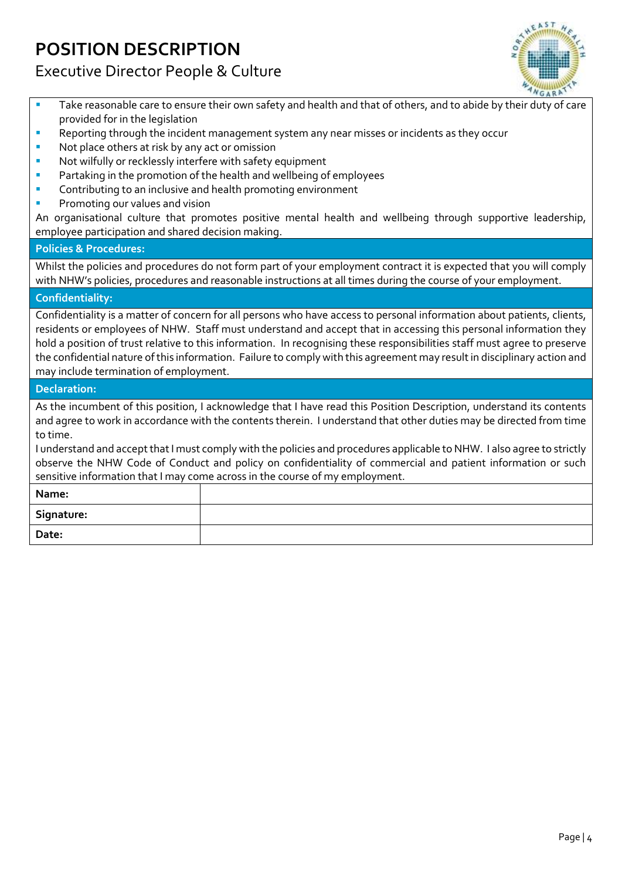# **POSITION DESCRIPTION**

## Executive Director People & Culture



- **•** Take reasonable care to ensure their own safety and health and that of others, and to abide by their duty of care provided for in the legislation
- **Reporting through the incident management system any near misses or incidents as they occur**
- Not place others at risk by any act or omission
- Not wilfully or recklessly interfere with safety equipment
- Partaking in the promotion of the health and wellbeing of employees
- **E** Contributing to an inclusive and health promoting environment
- Promoting our values and vision

An organisational culture that promotes positive mental health and wellbeing through supportive leadership, employee participation and shared decision making.

#### **Policies & Procedures:**

Whilst the policies and procedures do not form part of your employment contract it is expected that you will comply with NHW's policies, procedures and reasonable instructions at all times during the course of your employment.

#### **Confidentiality:**

Confidentiality is a matter of concern for all persons who have access to personal information about patients, clients, residents or employees of NHW. Staff must understand and accept that in accessing this personal information they hold a position of trust relative to this information. In recognising these responsibilities staff must agree to preserve the confidential nature of this information. Failure to comply with this agreement may result in disciplinary action and may include termination of employment.

#### **Declaration:**

As the incumbent of this position, I acknowledge that I have read this Position Description, understand its contents and agree to work in accordance with the contents therein. I understand that other duties may be directed from time to time.

I understand and accept that I must comply with the policies and procedures applicable to NHW. I also agree to strictly observe the NHW Code of Conduct and policy on confidentiality of commercial and patient information or such sensitive information that I may come across in the course of my employment.

| Name:      |  |
|------------|--|
| Signature: |  |
| Date:      |  |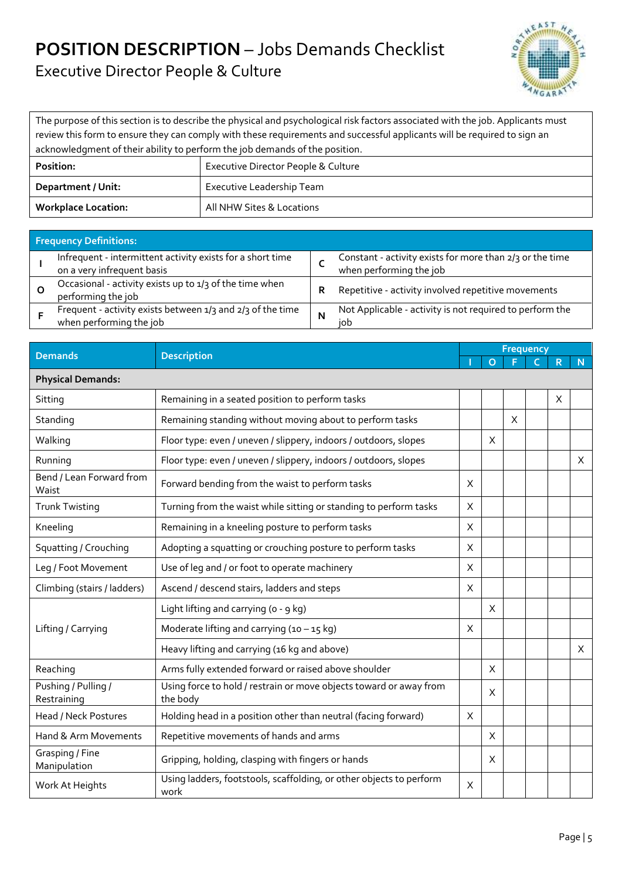## **POSITION DESCRIPTION** – Jobs Demands Checklist Executive Director People & Culture



The purpose of this section is to describe the physical and psychological risk factors associated with the job. Applicants must review this form to ensure they can comply with these requirements and successful applicants will be required to sign an acknowledgment of their ability to perform the job demands of the position.

| Position:                  | Executive Director People & Culture |  |  |  |  |
|----------------------------|-------------------------------------|--|--|--|--|
| Department / Unit:         | Executive Leadership Team           |  |  |  |  |
| <b>Workplace Location:</b> | All NHW Sites & Locations           |  |  |  |  |

| <b>Frequency Definitions:</b>                                                            |   |                                                                                     |
|------------------------------------------------------------------------------------------|---|-------------------------------------------------------------------------------------|
| Infrequent - intermittent activity exists for a short time<br>on a very infrequent basis |   | Constant - activity exists for more than 2/3 or the time<br>when performing the job |
| Occasional - activity exists up to 1/3 of the time when<br>performing the job            | R | Repetitive - activity involved repetitive movements                                 |
| Frequent - activity exists between 1/3 and 2/3 of the time<br>when performing the job    | N | Not Applicable - activity is not required to perform the<br>iob                     |

| <b>Demands</b>                     | <b>Description</b>                                                             |          | <b>Frequency</b> |   |  |   |   |  |  |
|------------------------------------|--------------------------------------------------------------------------------|----------|------------------|---|--|---|---|--|--|
|                                    |                                                                                |          | $\Omega$         |   |  | R | N |  |  |
| <b>Physical Demands:</b>           |                                                                                |          |                  |   |  |   |   |  |  |
| Sitting                            | Remaining in a seated position to perform tasks                                |          |                  |   |  | X |   |  |  |
| Standing                           | Remaining standing without moving about to perform tasks                       |          |                  | X |  |   |   |  |  |
| Walking                            | Floor type: even / uneven / slippery, indoors / outdoors, slopes               |          | X                |   |  |   |   |  |  |
| Running                            | Floor type: even / uneven / slippery, indoors / outdoors, slopes               |          |                  |   |  |   | X |  |  |
| Bend / Lean Forward from<br>Waist  | Forward bending from the waist to perform tasks                                | X        |                  |   |  |   |   |  |  |
| <b>Trunk Twisting</b>              | Turning from the waist while sitting or standing to perform tasks              | X        |                  |   |  |   |   |  |  |
| Kneeling                           | Remaining in a kneeling posture to perform tasks                               | X        |                  |   |  |   |   |  |  |
| Squatting / Crouching              | Adopting a squatting or crouching posture to perform tasks                     | $\times$ |                  |   |  |   |   |  |  |
| Leg / Foot Movement                | Use of leg and / or foot to operate machinery                                  | X        |                  |   |  |   |   |  |  |
| Climbing (stairs / ladders)        | Ascend / descend stairs, ladders and steps                                     | X        |                  |   |  |   |   |  |  |
|                                    | Light lifting and carrying (o - 9 kg)                                          |          | X                |   |  |   |   |  |  |
| Lifting / Carrying                 | Moderate lifting and carrying $(10 - 15$ kg)                                   | X        |                  |   |  |   |   |  |  |
|                                    | Heavy lifting and carrying (16 kg and above)                                   |          |                  |   |  |   | X |  |  |
| Reaching                           | Arms fully extended forward or raised above shoulder                           |          | X                |   |  |   |   |  |  |
| Pushing / Pulling /<br>Restraining | Using force to hold / restrain or move objects toward or away from<br>the body |          | X                |   |  |   |   |  |  |
| Head / Neck Postures               | Holding head in a position other than neutral (facing forward)                 | X        |                  |   |  |   |   |  |  |
| Hand & Arm Movements               | Repetitive movements of hands and arms                                         |          | X                |   |  |   |   |  |  |
| Grasping / Fine<br>Manipulation    | Gripping, holding, clasping with fingers or hands                              |          | X                |   |  |   |   |  |  |
| Work At Heights                    | Using ladders, footstools, scaffolding, or other objects to perform<br>work    | X        |                  |   |  |   |   |  |  |